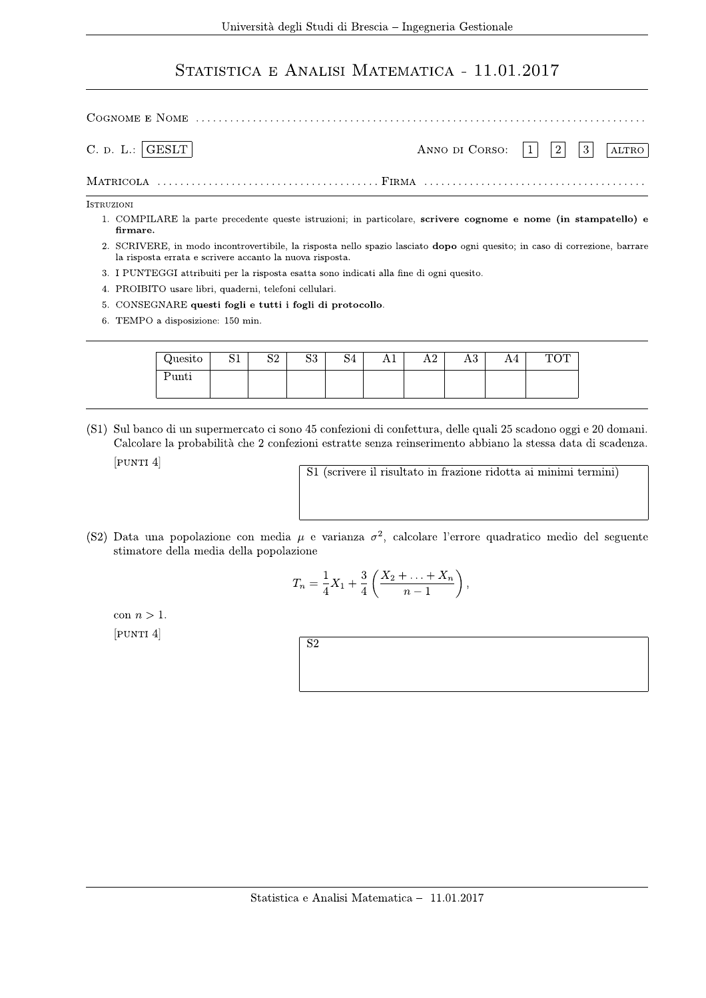## STATISTICA E ANALISI MATEMATICA - 11.01.2017

| C. D. L.:  GEST                                                                                                                                 | ANNO DI CORSO: $ 1 $   2   3 | ALTRO |
|-------------------------------------------------------------------------------------------------------------------------------------------------|------------------------------|-------|
|                                                                                                                                                 |                              |       |
| <b>ISTRUZIONI</b><br>1. COMPILARE la parte precedente queste istruzioni; in particolare, scrivere cognome e nome (in stampatello) e<br>firmare. |                              |       |

- 2. SCRIVERE, in modo incontrovertibile, la risposta nello spazio lasciato dopo ogni quesito; in caso di correzione, barrare la risposta errata e scrivere accanto la nuova risposta.
- 3. I PUNTEGGI attribuiti per la risposta esatta sono indicati alla fine di ogni quesito.
- 4. PROIBITO usare libri, quaderni, telefoni cellulari.
- 5. CONSEGNARE questi fogli e tutti i fogli di protocollo.
- 6. TEMPO a disposizione: 150 min.

| Quesito | $\sim$ $-$<br>◡∸ | റപ<br>◡▵ | ിവ<br>ມປ | 104 | <b>TTT</b> | $\Omega$<br>л.<br>1 L 4 | ΛU | AЧ | $\cap$ m<br>T(f)<br>1 O 1 |
|---------|------------------|----------|----------|-----|------------|-------------------------|----|----|---------------------------|
| 'unti   |                  |          |          |     |            |                         |    |    |                           |

(S1) Sul banco di un supermercato ci sono 45 confezioni di confettura, delle quali 25 scadono oggi e 20 domani. Calcolare la probabilità che 2 confezioni estratte senza reinserimento abbiano la stessa data di scadenza.  $[$ PUNTI $4]$ 

S1 (scrivere il risultato in frazione ridotta ai minimi termini)

(S2) Data una popolazione con media  $\mu$  e varianza  $\sigma^2$ , calcolare l'errore quadratico medio del seguente stimatore della media della popolazione

$$
T_n = \frac{1}{4}X_1 + \frac{3}{4}\left(\frac{X_2 + \ldots + X_n}{n-1}\right),
$$

con  $n > 1$ .  $[$ PUNTI $4]$ 

| $\vert$ S2 |
|------------|
|            |
|            |
|            |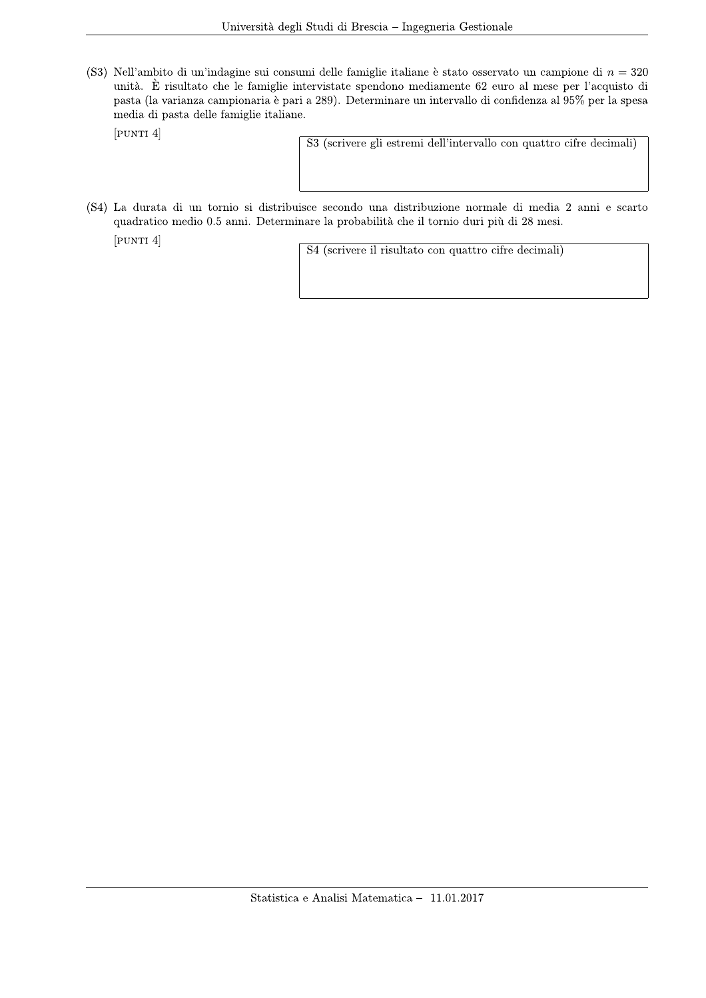(S3) Nell'ambito di un'indagine sui consumi delle famiglie italiane è stato osservato un campione di  $n = 320$ unità. È risultato che le famiglie intervistate spendono mediamente 62 euro al mese per l'acquisto di pasta (la varianza campionaria è pari a 289). Determinare un intervallo di confidenza al 95% per la spesa media di pasta delle famiglie italiane.

 $[$ PUNTI $4]$ 

S3 (scrivere gli estremi dell'intervallo con quattro cifre decimali)

(S4) La durata di un tornio si distribuisce secondo una distribuzione normale di media 2 anni e scarto quadratico medio 0.5 anni. Determinare la probabilità che il tornio duri più di 28 mesi.

 $[$ PUNTI $4]$ 

S4 (scrivere il risultato con quattro cifre decimali)